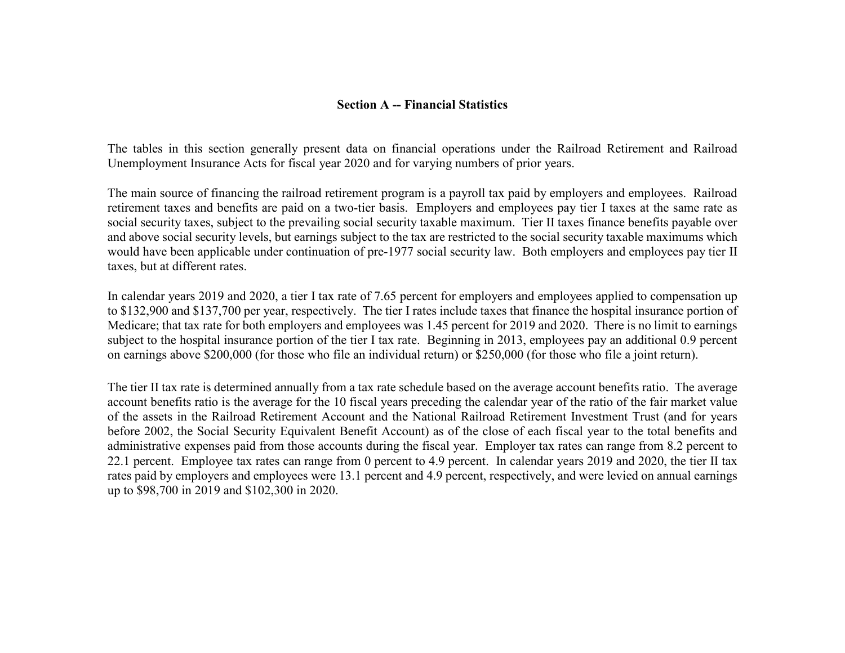## **Section A -- Financial Statistics**

The tables in this section generally present data on financial operations under the Railroad Retirement and Railroad Unemployment Insurance Acts for fiscal year 2020 and for varying numbers of prior years.

The main source of financing the railroad retirement program is a payroll tax paid by employers and employees. Railroad retirement taxes and benefits are paid on a two-tier basis. Employers and employees pay tier I taxes at the same rate as social security taxes, subject to the prevailing social security taxable maximum. Tier II taxes finance benefits payable over and above social security levels, but earnings subject to the tax are restricted to the social security taxable maximums which would have been applicable under continuation of pre-1977 social security law. Both employers and employees pay tier II taxes, but at different rates.

In calendar years 2019 and 2020, a tier I tax rate of 7.65 percent for employers and employees applied to compensation up to \$132,900 and \$137,700 per year, respectively. The tier I rates include taxes that finance the hospital insurance portion of Medicare; that tax rate for both employers and employees was 1.45 percent for 2019 and 2020. There is no limit to earnings subject to the hospital insurance portion of the tier I tax rate. Beginning in 2013, employees pay an additional 0.9 percent on earnings above \$200,000 (for those who file an individual return) or \$250,000 (for those who file a joint return).

The tier II tax rate is determined annually from a tax rate schedule based on the average account benefits ratio. The average account benefits ratio is the average for the 10 fiscal years preceding the calendar year of the ratio of the fair market value of the assets in the Railroad Retirement Account and the National Railroad Retirement Investment Trust (and for years before 2002, the Social Security Equivalent Benefit Account) as of the close of each fiscal year to the total benefits and administrative expenses paid from those accounts during the fiscal year. Employer tax rates can range from 8.2 percent to 22.1 percent. Employee tax rates can range from 0 percent to 4.9 percent. In calendar years 2019 and 2020, the tier II tax rates paid by employers and employees were 13.1 percent and 4.9 percent, respectively, and were levied on annual earnings up to \$98,700 in 2019 and \$102,300 in 2020.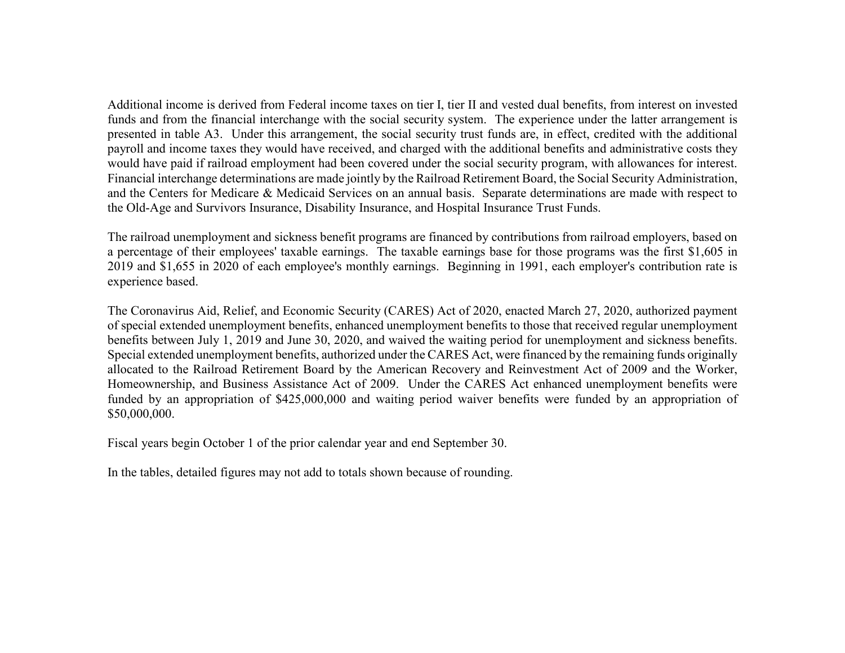Additional income is derived from Federal income taxes on tier I, tier II and vested dual benefits, from interest on invested funds and from the financial interchange with the social security system. The experience under the latter arrangement is presented in table A3. Under this arrangement, the social security trust funds are, in effect, credited with the additional payroll and income taxes they would have received, and charged with the additional benefits and administrative costs they would have paid if railroad employment had been covered under the social security program, with allowances for interest. Financial interchange determinations are made jointly by the Railroad Retirement Board, the Social Security Administration, and the Centers for Medicare & Medicaid Services on an annual basis. Separate determinations are made with respect to the Old-Age and Survivors Insurance, Disability Insurance, and Hospital Insurance Trust Funds.

The railroad unemployment and sickness benefit programs are financed by contributions from railroad employers, based on a percentage of their employees' taxable earnings. The taxable earnings base for those programs was the first \$1,605 in 2019 and \$1,655 in 2020 of each employee's monthly earnings. Beginning in 1991, each employer's contribution rate is experience based.

The Coronavirus Aid, Relief, and Economic Security (CARES) Act of 2020, enacted March 27, 2020, authorized payment of special extended unemployment benefits, enhanced unemployment benefits to those that received regular unemployment benefits between July 1, 2019 and June 30, 2020, and waived the waiting period for unemployment and sickness benefits. Special extended unemployment benefits, authorized under the CARES Act, were financed by the remaining funds originally allocated to the Railroad Retirement Board by the American Recovery and Reinvestment Act of 2009 and the Worker, Homeownership, and Business Assistance Act of 2009. Under the CARES Act enhanced unemployment benefits were funded by an appropriation of \$425,000,000 and waiting period waiver benefits were funded by an appropriation of \$50,000,000.

Fiscal years begin October 1 of the prior calendar year and end September 30.

In the tables, detailed figures may not add to totals shown because of rounding.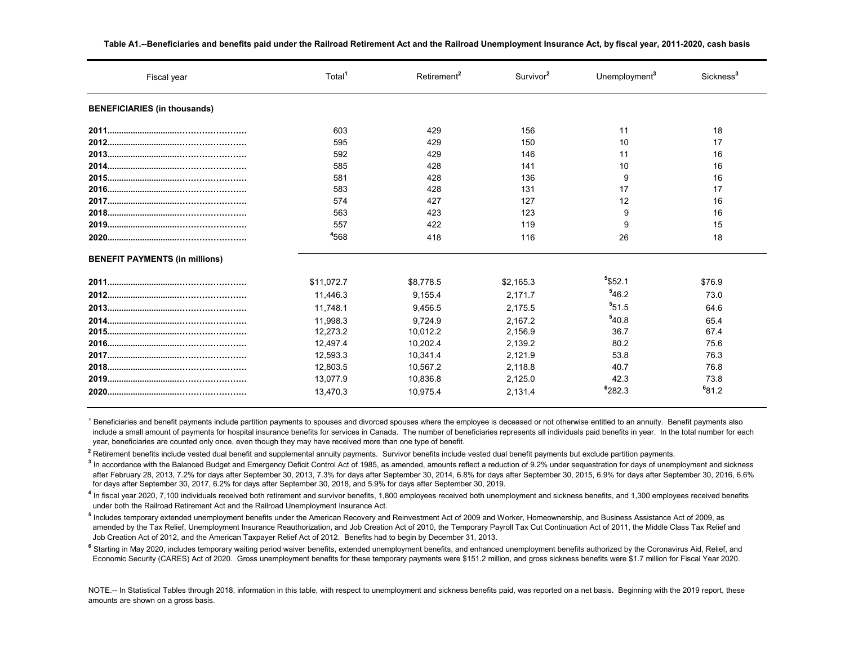| Fiscal year                           | Total      | Retirement <sup>2</sup> | Survivor <sup>2</sup> | Unemployment <sup>3</sup> | Sickness <sup>3</sup> |
|---------------------------------------|------------|-------------------------|-----------------------|---------------------------|-----------------------|
| <b>BENEFICIARIES (in thousands)</b>   |            |                         |                       |                           |                       |
|                                       | 603        | 429                     | 156                   | 11                        | 18                    |
|                                       | 595        | 429                     | 150                   | 10                        | 17                    |
|                                       | 592        | 429                     | 146                   | 11                        | 16                    |
|                                       | 585        | 428                     | 141                   | 10                        | 16                    |
|                                       | 581        | 428                     | 136                   | 9                         | 16                    |
|                                       | 583        | 428                     | 131                   | 17                        | 17                    |
|                                       | 574        | 427                     | 127                   | 12                        | 16                    |
|                                       | 563        | 423                     | 123                   | 9                         | 16                    |
|                                       | 557        | 422                     | 119                   | 9                         | 15                    |
|                                       | 4568       | 418                     | 116                   | 26                        | 18                    |
| <b>BENEFIT PAYMENTS (in millions)</b> |            |                         |                       |                           |                       |
|                                       | \$11,072.7 | \$8,778.5               | \$2,165.3             | $5$ \$52.1                | \$76.9                |
|                                       | 11.446.3   | 9,155.4                 | 2.171.7               | 546.2                     | 73.0                  |
|                                       | 11,748.1   | 9,456.5                 | 2,175.5               | 551.5                     | 64.6                  |
|                                       | 11,998.3   | 9,724.9                 | 2,167.2               | 540.8                     | 65.4                  |
|                                       | 12,273.2   | 10,012.2                | 2,156.9               | 36.7                      | 67.4                  |
|                                       | 12,497.4   | 10,202.4                | 2,139.2               | 80.2                      | 75.6                  |
|                                       | 12,593.3   | 10,341.4                | 2,121.9               | 53.8                      | 76.3                  |
|                                       | 12,803.5   | 10,567.2                | 2,118.8               | 40.7                      | 76.8                  |
|                                       | 13,077.9   | 10,836.8                | 2,125.0               | 42.3                      | 73.8                  |
|                                       | 13.470.3   | 10.975.4                | 2.131.4               | <sup>6</sup> 282.3        | <sup>6</sup> 81.2     |

**Table A1.--Beneficiaries and benefits paid under the Railroad Retirement Act and the Railroad Unemployment Insurance Act, by fiscal year, 2011-2020, cash basis**

<sup>1</sup> Beneficiaries and benefit payments include partition payments to spouses and divorced spouses where the employee is deceased or not otherwise entitled to an annuity. Benefit payments also include a small amount of payments for hospital insurance benefits for services in Canada. The number of beneficiaries represents all individuals paid benefits in year. In the total number for each year, beneficiaries are counted only once, even though they may have received more than one type of benefit.

<sup>2</sup> Retirement benefits include vested dual benefit and supplemental annuity payments. Survivor benefits include vested dual benefit payments but exclude partition payments.

<sup>3</sup> In accordance with the Balanced Budget and Emergency Deficit Control Act of 1985, as amended, amounts reflect a reduction of 9.2% under sequestration for days of unemployment and sickness after February 28, 2013, 7.2% for days after September 30, 2013, 7.3% for days after September 30, 2014, 6.8% for days after September 30, 2015, 6.9% for days after September 30, 2016, 6.6% for days after September 30, 2017, 6.2% for days after September 30, 2018, and 5.9% for days after September 30, 2019.

**4** In fiscal year 2020, 7,100 individuals received both retirement and survivor benefits, 1,800 employees received both unemployment and sickness benefits, and 1,300 employees received benefits under both the Railroad Retirement Act and the Railroad Unemployment Insurance Act.

**5** Includes temporary extended unemployment benefits under the American Recovery and Reinvestment Act of 2009 and Worker, Homeownership, and Business Assistance Act of 2009, as amended by the Tax Relief, Unemployment Insurance Reauthorization, and Job Creation Act of 2010, the Temporary Payroll Tax Cut Continuation Act of 2011, the Middle Class Tax Relief and Job Creation Act of 2012, and the American Taxpayer Relief Act of 2012. Benefits had to begin by December 31, 2013.

**6** Starting in May 2020, includes temporary waiting period waiver benefits, extended unemployment benefits authoriand benefits authorized by the Coronavirus Aid, Relief, and Economic Security (CARES) Act of 2020. Gross unemployment benefits for these temporary payments were \$151.2 million, and gross sickness benefits were \$1.7 million for Fiscal Year 2020.

NOTE.-- In Statistical Tables through 2018, information in this table, with respect to unemployment and sickness benefits paid, was reported on a net basis. Beginning with the 2019 report, these amounts are shown on a gross basis.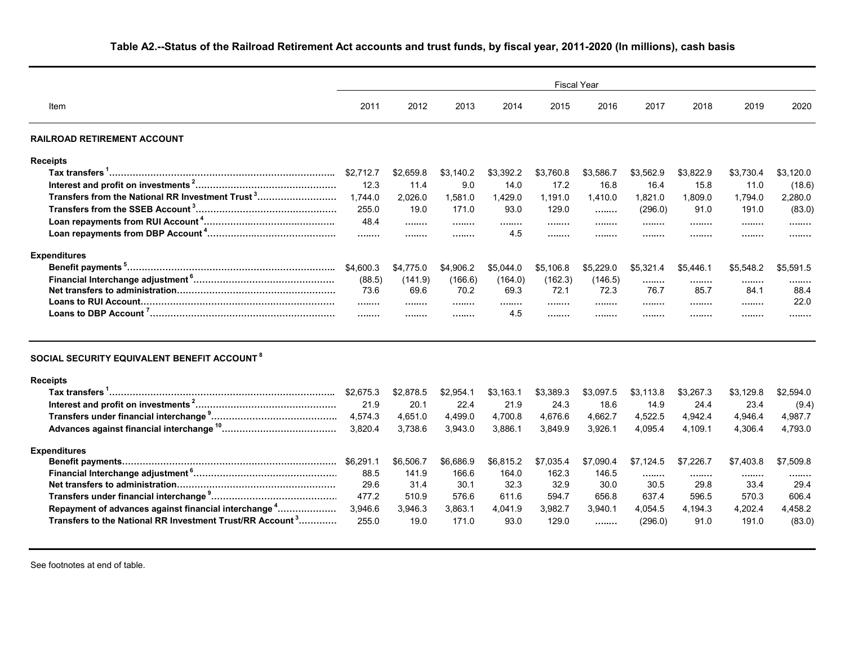# **Table A2.--Status of the Railroad Retirement Act accounts and trust funds, by fiscal year, 2011-2020 (In millions), cash basis**

|                                                                       | <b>Fiscal Year</b> |           |           |           |           |           |           |           |           |           |
|-----------------------------------------------------------------------|--------------------|-----------|-----------|-----------|-----------|-----------|-----------|-----------|-----------|-----------|
| Item                                                                  | 2011               | 2012      | 2013      | 2014      | 2015      | 2016      | 2017      | 2018      | 2019      | 2020      |
| RAILROAD RETIREMENT ACCOUNT                                           |                    |           |           |           |           |           |           |           |           |           |
| <b>Receipts</b>                                                       |                    |           |           |           |           |           |           |           |           |           |
|                                                                       | \$2,712.7          | \$2,659.8 | \$3,140.2 | \$3,392.2 | \$3,760.8 | \$3,586.7 | \$3,562.9 | \$3,822.9 | \$3,730.4 | \$3,120.0 |
|                                                                       | 12.3               | 11.4      | 9.0       | 14.0      | 17.2      | 16.8      | 16.4      | 15.8      | 11.0      | (18.6)    |
| Transfers from the National RR Investment Trust <sup>3</sup>          | 1,744.0            | 2,026.0   | 1,581.0   | 1,429.0   | 1,191.0   | 1,410.0   | 1,821.0   | 1,809.0   | 1,794.0   | 2,280.0   |
|                                                                       | 255.0              | 19.0      | 171.0     | 93.0      | 129.0     |           | (296.0)   | 91.0      | 191.0     | (83.0)    |
|                                                                       | 48.4               | .         |           | .         |           |           |           |           |           |           |
|                                                                       | .                  |           |           | 4.5       | .         |           |           |           |           |           |
| <b>Expenditures</b>                                                   |                    |           |           |           |           |           |           |           |           |           |
|                                                                       | \$4,600.3          | \$4,775.0 | \$4,906.2 | \$5,044.0 | \$5,106.8 | \$5,229.0 | \$5,321.4 | \$5,446.1 | \$5,548.2 | \$5,591.5 |
|                                                                       | (88.5)             | (141.9)   | (166.6)   | (164.0)   | (162.3)   | (146.5)   | .         |           |           |           |
|                                                                       | 73.6               | 69.6      | 70.2      | 69.3      | 72.1      | 72.3      | 76.7      | .<br>85.7 | <br>84.1  | .<br>88.4 |
|                                                                       |                    |           |           |           |           |           |           |           |           | 22.0      |
|                                                                       |                    |           |           | 4.5       | .         |           |           |           |           | .         |
| SOCIAL SECURITY EQUIVALENT BENEFIT ACCOUNT <sup>8</sup>               |                    |           |           |           |           |           |           |           |           |           |
| <b>Receipts</b>                                                       |                    |           |           |           |           |           |           |           |           |           |
|                                                                       | \$2,675.3          | \$2,878.5 | \$2,954.1 | \$3,163.1 | \$3,389.3 | \$3,097.5 | \$3,113.8 | \$3,267.3 | \$3,129.8 | \$2,594.0 |
|                                                                       | 21.9               | 20.1      | 22.4      | 21.9      | 24.3      | 18.6      | 14.9      | 24.4      | 23.4      | (9.4)     |
|                                                                       | 4,574.3            | 4,651.0   | 4,499.0   | 4,700.8   | 4,676.6   | 4,662.7   | 4,522.5   | 4,942.4   | 4,946.4   | 4,987.7   |
|                                                                       | 3.820.4            | 3,738.6   | 3,943.0   | 3,886.1   | 3,849.9   | 3,926.1   | 4,095.4   | 4,109.1   | 4,306.4   | 4,793.0   |
|                                                                       |                    |           |           |           |           |           |           |           |           |           |
| <b>Expenditures</b>                                                   |                    | \$6,506.7 | \$6,686.9 | \$6,815.2 | \$7,035.4 | \$7,090.4 | \$7,124.5 | \$7,226.7 | \$7,403.8 | \$7,509.8 |
|                                                                       | 88.5               | 141.9     | 166.6     | 164.0     | 162.3     | 146.5     |           |           |           |           |
|                                                                       | 29.6               | 31.4      | 30.1      | 32.3      | 32.9      | 30.0      | <br>30.5  | <br>29.8  | <br>33.4  | <br>29.4  |
|                                                                       | 477.2              | 510.9     | 576.6     | 611.6     | 594.7     | 656.8     | 637.4     | 596.5     | 570.3     | 606.4     |
| Repayment of advances against financial interchange <sup>4</sup>      | 3,946.6            | 3,946.3   | 3,863.1   | 4,041.9   | 3,982.7   | 3,940.1   | 4,054.5   | 4,194.3   | 4,202.4   | 4,458.2   |
| Transfers to the National RR Investment Trust/RR Account <sup>3</sup> | 255.0              | 19.0      | 171.0     | 93.0      | 129.0     |           | (296.0)   | 91.0      | 191.0     | (83.0)    |
|                                                                       |                    |           |           |           |           |           |           |           |           |           |

See footnotes at end of table.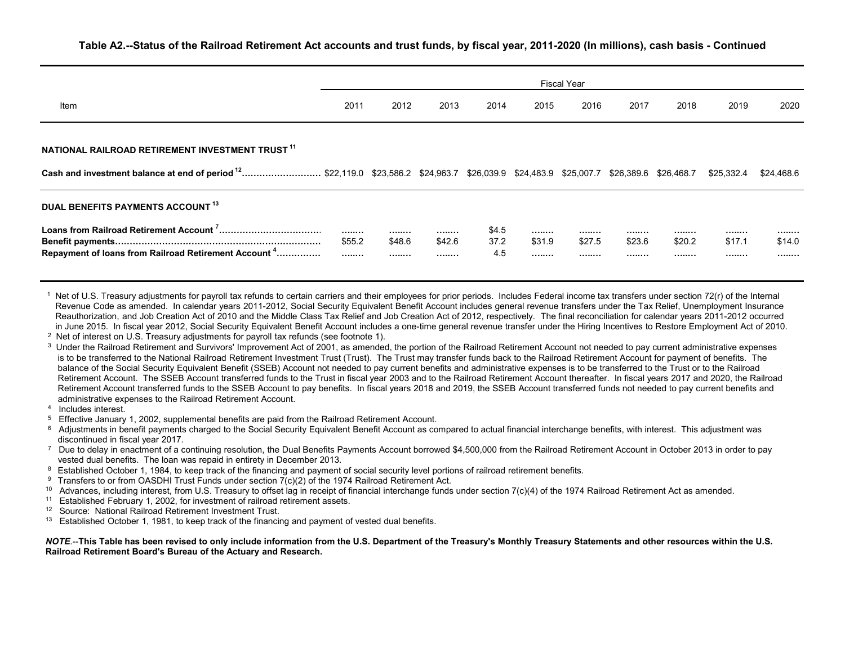|                                                                                                                                                    | <b>Fiscal Year</b> |                |                |                      |                |                |                |                |                 |                |
|----------------------------------------------------------------------------------------------------------------------------------------------------|--------------------|----------------|----------------|----------------------|----------------|----------------|----------------|----------------|-----------------|----------------|
| Item                                                                                                                                               | 2011               | 2012           | 2013           | 2014                 | 2015           | 2016           | 2017           | 2018           | 2019            | 2020           |
| NATIONAL RAILROAD RETIREMENT INVESTMENT TRUST 11                                                                                                   |                    |                |                |                      |                |                |                |                |                 |                |
| Cash and investment balance at end of period <sup>12</sup> \$22,119.0 \$23,586.2 \$24,963.7 \$26,039.9 \$24,483.9 \$25,007.7 \$26,389.6 \$26,468.7 |                    |                |                |                      |                |                |                |                | \$25,332.4      | \$24.468.6     |
| <b>DUAL BENEFITS PAYMENTS ACCOUNT 13</b>                                                                                                           |                    |                |                |                      |                |                |                |                |                 |                |
| Repayment of loans from Railroad Retirement Account <sup>4</sup>                                                                                   | <br>\$55.2<br>     | <br>\$48.6<br> | <br>\$42.6<br> | \$4.5<br>37.2<br>4.5 | <br>\$31.9<br> | <br>\$27.5<br> | <br>\$23.6<br> | <br>\$20.2<br> | .<br>\$17.1<br> | <br>\$14.0<br> |

Net of U.S. Treasury adjustments for payroll tax refunds to certain carriers and their employees for prior periods. Includes Federal income tax transfers under section 72(r) of the Internal Revenue Code as amended. In calendar years 2011-2012, Social Security Equivalent Benefit Account includes general revenue transfers under the Tax Relief, Unemployment Insurance Reauthorization, and Job Creation Act of 2010 and the Middle Class Tax Relief and Job Creation Act of 2012, respectively. The final reconciliation for calendar years 2011-2012 occurred in June 2015. In fiscal year 2012, Social Security Equivalent Benefit Account includes a one-time general revenue transfer under the Hiring Incentives to Restore Employment Act of 2010.

- <sup>2</sup> Net of interest on U.S. Treasury adjustments for payroll tax refunds (see footnote 1).
- <sup>3</sup> Under the Railroad Retirement and Survivors' Improvement Act of 2001, as amended, the portion of the Railroad Retirement Account not needed to pay current administrative expenses is to be transferred to the National Railroad Retirement Investment Trust (Trust). The Trust may transfer funds back to the Railroad Retirement Account for payment of benefits. The balance of the Social Security Equivalent Benefit (SSEB) Account not needed to pay current benefits and administrative expenses is to be transferred to the Trust or to the Railroad Retirement Account. The SSEB Account transferred funds to the Trust in fiscal year 2003 and to the Railroad Retirement Account thereafter. In fiscal years 2017 and 2020, the Railroad Retirement Account transferred funds to the SSEB Account to pay benefits. In fiscal years 2018 and 2019, the SSEB Account transferred funds not needed to pay current benefits and administrative expenses to the Railroad Retirement Account.
- $4$  Includes interest.
- <sup>5</sup> Effective January 1, 2002, supplemental benefits are paid from the Railroad Retirement Account.
- $6$  Adjustments in benefit payments charged to the Social Security Equivalent Benefit Account as compared to actual financial interchange benefits, with interest. This adjustment was discontinued in fiscal year 2017.
- $7$  Due to delay in enactment of a continuing resolution, the Dual Benefits Payments Account borrowed \$4,500,000 from the Railroad Retirement Account in October 2013 in order to pay vested dual benefits. The loan was repaid in entirety in December 2013.
- 8 Established October 1, 1984, to keep track of the financing and payment of social security level portions of railroad retirement benefits.
- <sup>9</sup> Transfers to or from OASDHI Trust Funds under section 7(c)(2) of the 1974 Railroad Retirement Act.
- <sup>10</sup> Advances, including interest, from U.S. Treasury to offset lag in receipt of financial interchange funds under section  $7(c)(4)$  of the 1974 Railroad Retirement Act as amended.<br><sup>11</sup> Established February 1, 2002, for in
- <sup>11</sup> Established February 1, 2002, for investment of railroad retirement assets.<br><sup>12</sup> Source: National Railroad Retirement Investment Trust
- <sup>12</sup> Source: National Railroad Retirement Investment Trust.<br><sup>13</sup> Established October 1, 1981, to keep track of the financia
- Established October 1, 1981, to keep track of the financing and payment of vested dual benefits.

#### *NOTE*.--**This Table has been revised to only include information from the U.S. Department of the Treasury's Monthly Treasury Statements and other resources within the U.S. Railroad Retirement Board's Bureau of the Actuary and Research.**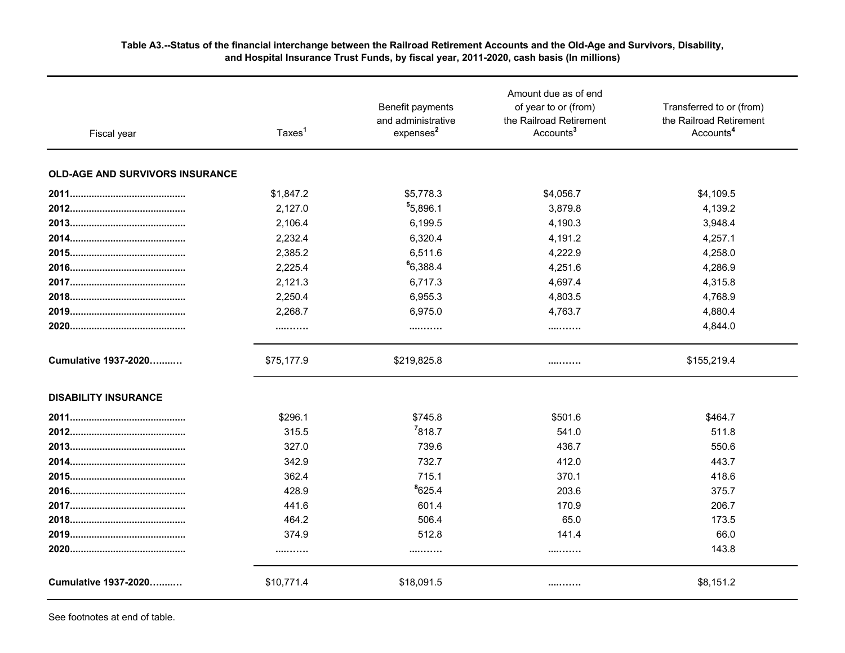#### **Table A3.--Status of the financial interchange between the Railroad Retirement Accounts and the Old-Age and Survivors, Disability, and Hospital Insurance Trust Funds, by fiscal year, 2011-2020, cash basis (In millions)**

| Fiscal year                            | Taxes <sup>1</sup> | Benefit payments<br>and administrative<br>expenses <sup>2</sup> | Amount due as of end<br>of year to or (from)<br>the Railroad Retirement<br>Accounts <sup>3</sup> | Transferred to or (from)<br>the Railroad Retirement<br>Accounts <sup>4</sup> |  |
|----------------------------------------|--------------------|-----------------------------------------------------------------|--------------------------------------------------------------------------------------------------|------------------------------------------------------------------------------|--|
| <b>OLD-AGE AND SURVIVORS INSURANCE</b> |                    |                                                                 |                                                                                                  |                                                                              |  |
|                                        | \$1,847.2          | \$5,778.3                                                       | \$4,056.7                                                                                        | \$4,109.5                                                                    |  |
|                                        | 2,127.0            | 5,896.1                                                         | 3,879.8                                                                                          | 4,139.2                                                                      |  |
|                                        | 2,106.4            | 6,199.5                                                         | 4,190.3                                                                                          | 3,948.4                                                                      |  |
|                                        | 2,232.4            | 6,320.4                                                         | 4,191.2                                                                                          | 4,257.1                                                                      |  |
|                                        | 2,385.2            | 6,511.6                                                         | 4,222.9                                                                                          | 4,258.0                                                                      |  |
|                                        | 2,225.4            | 6,388.4                                                         | 4,251.6                                                                                          | 4,286.9                                                                      |  |
|                                        | 2,121.3            | 6,717.3                                                         | 4,697.4                                                                                          | 4,315.8                                                                      |  |
|                                        | 2,250.4            | 6,955.3                                                         | 4,803.5                                                                                          | 4,768.9                                                                      |  |
|                                        | 2,268.7            | 6,975.0                                                         | 4,763.7                                                                                          | 4,880.4                                                                      |  |
|                                        | .                  |                                                                 |                                                                                                  | 4,844.0                                                                      |  |
| Cumulative 1937-2020                   | \$75,177.9         | \$219,825.8                                                     |                                                                                                  | \$155,219.4                                                                  |  |
| <b>DISABILITY INSURANCE</b>            |                    |                                                                 |                                                                                                  |                                                                              |  |
|                                        | \$296.1            | \$745.8                                                         | \$501.6                                                                                          | \$464.7                                                                      |  |
|                                        | 315.5              | 7818.7                                                          | 541.0                                                                                            | 511.8                                                                        |  |
|                                        | 327.0              | 739.6                                                           | 436.7                                                                                            | 550.6                                                                        |  |
|                                        | 342.9              | 732.7                                                           | 412.0                                                                                            | 443.7                                                                        |  |
|                                        | 362.4              | 715.1                                                           | 370.1                                                                                            | 418.6                                                                        |  |
|                                        | 428.9              | 8625.4                                                          | 203.6                                                                                            | 375.7                                                                        |  |
|                                        | 441.6              | 601.4                                                           | 170.9                                                                                            | 206.7                                                                        |  |
|                                        | 464.2              | 506.4                                                           | 65.0                                                                                             | 173.5                                                                        |  |
|                                        | 374.9              | 512.8                                                           | 141.4                                                                                            | 66.0                                                                         |  |
|                                        | .                  |                                                                 |                                                                                                  | 143.8                                                                        |  |
| Cumulative 1937-2020                   | \$10,771.4         | \$18,091.5                                                      |                                                                                                  | \$8,151.2                                                                    |  |

See footnotes at end of table.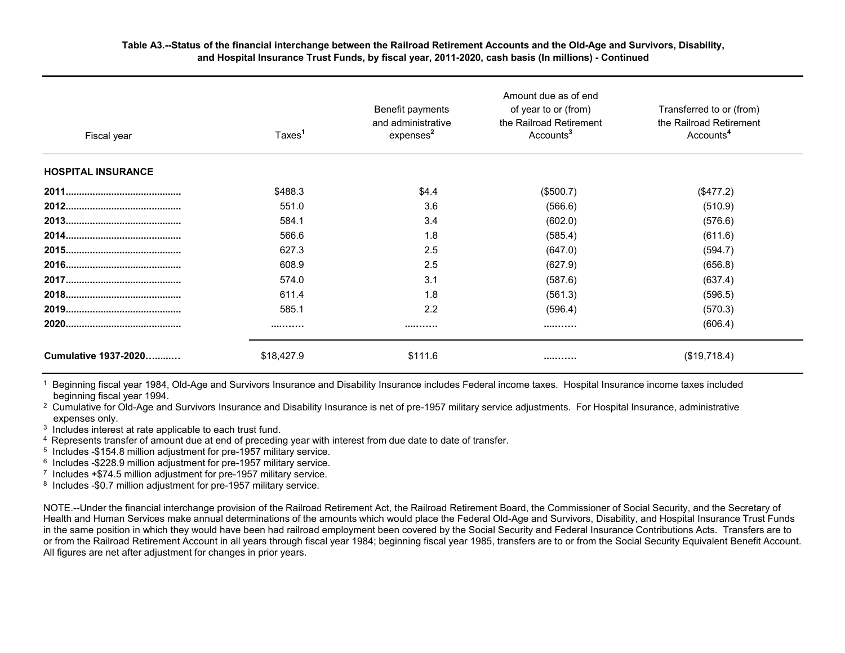#### **Table A3.--Status of the financial interchange between the Railroad Retirement Accounts and the Old-Age and Survivors, Disability, and Hospital Insurance Trust Funds, by fiscal year, 2011-2020, cash basis (In millions) - Continued**

| Fiscal year               | Taxes <sup>1</sup> | Benefit payments<br>and administrative<br>expenses <sup>2</sup> | Amount due as of end<br>of year to or (from)<br>the Railroad Retirement<br>Accounts <sup>3</sup> | Transferred to or (from)<br>the Railroad Retirement<br>Accounts <sup>4</sup> |
|---------------------------|--------------------|-----------------------------------------------------------------|--------------------------------------------------------------------------------------------------|------------------------------------------------------------------------------|
| <b>HOSPITAL INSURANCE</b> |                    |                                                                 |                                                                                                  |                                                                              |
|                           | \$488.3            | \$4.4                                                           | (\$500.7)                                                                                        | (\$477.2)                                                                    |
|                           | 551.0              | 3.6                                                             | (566.6)                                                                                          | (510.9)                                                                      |
|                           | 584.1              | 3.4                                                             | (602.0)                                                                                          | (576.6)                                                                      |
|                           | 566.6              | 1.8                                                             | (585.4)                                                                                          | (611.6)                                                                      |
|                           | 627.3              | 2.5                                                             | (647.0)                                                                                          | (594.7)                                                                      |
|                           | 608.9              | 2.5                                                             | (627.9)                                                                                          | (656.8)                                                                      |
|                           | 574.0              | 3.1                                                             | (587.6)                                                                                          | (637.4)                                                                      |
|                           | 611.4              | 1.8                                                             | (561.3)                                                                                          | (596.5)                                                                      |
|                           | 585.1              | 2.2                                                             | (596.4)                                                                                          | (570.3)                                                                      |
|                           |                    |                                                                 |                                                                                                  | (606.4)                                                                      |
| Cumulative 1937-2020      | \$18,427.9         | \$111.6                                                         |                                                                                                  | (\$19,718.4)                                                                 |

<sup>1</sup> Beginning fiscal year 1984, Old-Age and Survivors Insurance and Disability Insurance includes Federal income taxes. Hospital Insurance income taxes included beginning fiscal year 1994.

<sup>2</sup> Cumulative for Old-Age and Survivors Insurance and Disability Insurance is net of pre-1957 military service adjustments. For Hospital Insurance, administrative expenses only.

<sup>3</sup> Includes interest at rate applicable to each trust fund.

 $4$  Represents transfer of amount due at end of preceding year with interest from due date to date of transfer.<br>
<sup>5</sup> Includes -\$154.8 million adjustment for pre-1957 military service.

 $6$  Includes -\$228.9 million adjustment for pre-1957 military service.<br>
<sup>7</sup> Includes +\$74.5 million adjustment for pre-1957 military service.

<sup>8</sup> Includes -\$0.7 million adjustment for pre-1957 military service.

NOTE.--Under the financial interchange provision of the Railroad Retirement Act, the Railroad Retirement Board, the Commissioner of Social Security, and the Secretary of Health and Human Services make annual determinations of the amounts which would place the Federal Old-Age and Survivors, Disability, and Hospital Insurance Trust Funds in the same position in which they would have been had railroad employment been covered by the Social Security and Federal Insurance Contributions Acts. Transfers are to or from the Railroad Retirement Account in all years through fiscal year 1984; beginning fiscal year 1985, transfers are to or from the Social Security Equivalent Benefit Account. All figures are net after adjustment for changes in prior years.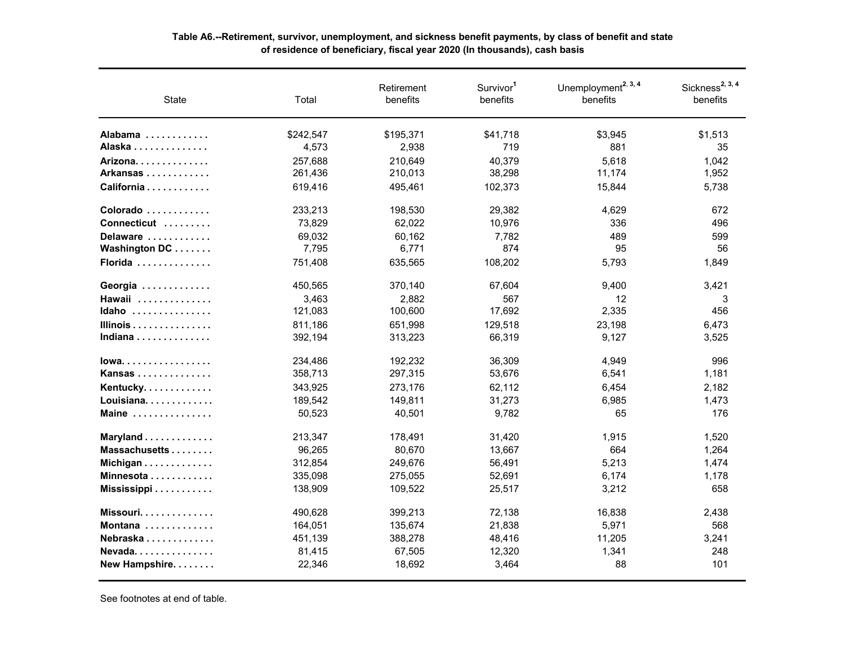| <b>State</b>                                  | Total     | Retirement<br>benefits | Survivor <sup>1</sup><br>benefits | Unemployment <sup>2, 3, 4</sup><br>benefits | Sickness <sup>2, 3, 4</sup><br>benefits |
|-----------------------------------------------|-----------|------------------------|-----------------------------------|---------------------------------------------|-----------------------------------------|
| Alabama                                       | \$242,547 | \$195,371              | \$41,718                          | \$3,945                                     | \$1,513                                 |
| Alaska                                        | 4,573     | 2,938                  | 719                               | 881                                         | 35                                      |
| Arizona.                                      | 257,688   | 210,649                | 40,379                            | 5,618                                       | 1,042                                   |
| Arkansas                                      | 261,436   | 210,013                | 38,298                            | 11,174                                      | 1,952                                   |
| California                                    | 619,416   | 495,461                | 102,373                           | 15,844                                      | 5,738                                   |
| Colorado                                      | 233,213   | 198,530                | 29,382                            | 4.629                                       | 672                                     |
| Connecticut                                   | 73,829    | 62,022                 | 10,976                            | 336                                         | 496                                     |
| Delaware                                      | 69,032    | 60,162                 | 7,782                             | 489                                         | 599                                     |
| Washington DC                                 | 7,795     | 6,771                  | 874                               | 95                                          | 56                                      |
| Florida $\ldots \ldots \ldots \ldots$         | 751,408   | 635,565                | 108,202                           | 5,793                                       | 1,849                                   |
| Georgia                                       | 450,565   | 370,140                | 67,604                            | 9,400                                       | 3,421                                   |
| Hawaii                                        | 3,463     | 2,882                  | 567                               | $12 \overline{ }$                           | 3                                       |
| Idaho                                         | 121,083   | 100,600                | 17,692                            | 2,335                                       | 456                                     |
| Illinois $\ldots \ldots \ldots \ldots \ldots$ | 811,186   | 651,998                | 129,518                           | 23,198                                      | 6,473                                   |
| Indiana                                       | 392,194   | 313,223                | 66,319                            | 9,127                                       | 3,525                                   |
| $lowa$                                        | 234,486   | 192,232                | 36,309                            | 4,949                                       | 996                                     |
| Kansas                                        | 358,713   | 297,315                | 53,676                            | 6,541                                       | 1,181                                   |
| Kentucky.                                     | 343,925   | 273,176                | 62,112                            | 6,454                                       | 2,182                                   |
| Louisiana                                     | 189,542   | 149,811                | 31,273                            | 6,985                                       | 1,473                                   |
| Maine $\ldots \ldots \ldots \ldots$           | 50,523    | 40,501                 | 9,782                             | 65                                          | 176                                     |
| Maryland                                      | 213,347   | 178,491                | 31,420                            | 1,915                                       | 1,520                                   |
| Massachusetts                                 | 96,265    | 80,670                 | 13,667                            | 664                                         | 1,264                                   |
| Michigan                                      | 312,854   | 249,676                | 56,491                            | 5,213                                       | 1,474                                   |
| Minnesota                                     | 335,098   | 275,055                | 52,691                            | 6,174                                       | 1,178                                   |
| Mississippi                                   | 138,909   | 109,522                | 25,517                            | 3,212                                       | 658                                     |
| Missouri $\ldots \ldots \ldots \ldots$        | 490,628   | 399,213                | 72,138                            | 16,838                                      | 2,438                                   |
| Montana                                       | 164,051   | 135,674                | 21,838                            | 5,971                                       | 568                                     |
| Nebraska                                      | 451,139   | 388,278                | 48,416                            | 11,205                                      | 3,241                                   |
| Nevada                                        | 81,415    | 67,505                 | 12,320                            | 1,341                                       | 248                                     |
| New Hampshire.                                | 22,346    | 18,692                 | 3,464                             | 88                                          | 101                                     |

## **Table A6.--Retirement, survivor, unemployment, and sickness benefit payments, by class of benefit and state of residence of beneficiary, fiscal year 2020 (In thousands), cash basis**

See footnotes at end of table.